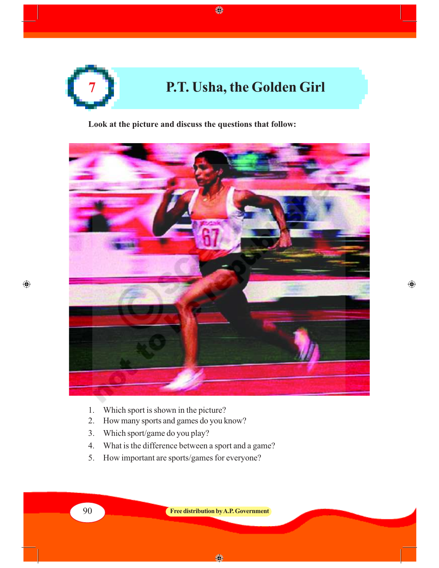

◈

**Look at the picture and discuss the questions that follow:**



 $\bigoplus$ 

- 1. Which sport is shown in the picture?
- 2. How many sports and games do you know?
- 3. Which sport/game do you play?
- 4. What is the difference between a sport and a game?
- 5. How important are sports/games for everyone?

 $\bigcirc$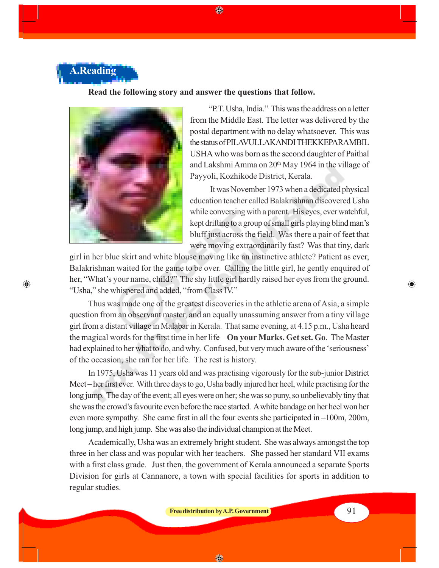

 $\bigcirc$ 

#### **Read the following story and answer the questions that follow.**

◈



"P.T. Usha, India." This was the address on a letter from the Middle East. The letter was delivered by the postal department with no delay whatsoever. This was the status of PILAVULLAKANDI THEKKEPARAMBIL USHA who was born as the second daughter of Paithal and Lakshmi Amma on 20<sup>th</sup> May 1964 in the village of Payyoli, Kozhikode District, Kerala.

 It was November 1973 when a dedicated physical education teacher called Balakrishnan discovered Usha while conversing with a parent. His eyes, ever watchful, kept drifting to a group of small girls playing blind man's bluff just across the field. Was there a pair of feet that were moving extraordinarily fast? Was that tiny, dark

girl in her blue skirt and white blouse moving like an instinctive athlete? Patient as ever, Balakrishnan waited for the game to be over. Calling the little girl, he gently enquired of her, "What's your name, child?" The shy little girl hardly raised her eyes from the ground. "Usha," she whispered and added, "from Class IV."

Thus was made one of the greatest discoveries in the athletic arena of Asia, a simple question from an observant master, and an equally unassuming answer from a tiny village girl from a distant village in Malabar in Kerala. That same evening, at 4.15 p.m., Usha heard the magical words for the first time in her life – **On your Marks. Get set. Go**. The Master had explained to her what to do, and why. Confused, but very much aware of the 'seriousness' of the occasion, she ran for her life. The rest is history.

In 1975, Usha was 11 years old and was practising vigorously for the sub-junior District Meet – her first ever. With three days to go, Usha badly injured her heel, while practising for the long jump. The day of the event; all eyes were on her; she was so puny, so unbelievably tiny that she was the crowd's favourite even before the race started. A white bandage on her heel won her even more sympathy. She came first in all the four events she participated in –100m, 200m, long jump, and high jump. She was also the individual champion at the Meet.

Academically, Usha was an extremely bright student. She was always amongst the top three in her class and was popular with her teachers. She passed her standard VII exams with a first class grade. Just then, the government of Kerala announced a separate Sports Division for girls at Cannanore, a town with special facilities for sports in addition to regular studies.

**Free distribution by A.P. Government** 91

◈

⊕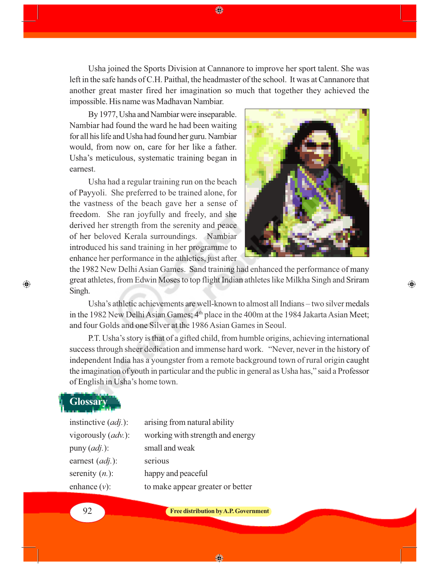Usha joined the Sports Division at Cannanore to improve her sport talent. She was left in the safe hands of C.H. Paithal, the headmaster of the school. It was at Cannanore that another great master fired her imagination so much that together they achieved the impossible. His name was Madhavan Nambiar.

◈

By 1977, Usha and Nambiar were inseparable. Nambiar had found the ward he had been waiting for all his life and Usha had found her guru. Nambiar would, from now on, care for her like a father. Usha's meticulous, systematic training began in earnest.

Usha had a regular training run on the beach of Payyoli. She preferred to be trained alone, for the vastness of the beach gave her a sense of freedom. She ran joyfully and freely, and she derived her strength from the serenity and peace of her beloved Kerala surroundings. Nambiar introduced his sand training in her programme to enhance her performance in the athletics, just after



◈

the 1982 New Delhi Asian Games. Sand training had enhanced the performance of many great athletes, from Edwin Moses to top flight Indian athletes like Milkha Singh and Sriram Singh.

Usha's athletic achievements are well-known to almost all Indians – two silver medals in the 1982 New Delhi Asian Games; 4<sup>th</sup> place in the 400m at the 1984 Jakarta Asian Meet; and four Golds and one Silver at the 1986 Asian Games in Seoul.

P.T. Usha's story is that of a gifted child, from humble origins, achieving international success through sheer dedication and immense hard work. "Never, never in the history of independent India has a youngster from a remote background town of rural origin caught the imagination of youth in particular and the public in general as Usha has," said a Professor of English in Usha's home town.

## **Glossary**

 $\bigcirc$ 

| instinctive $(adj.)$ :      | arising from natural ability     |
|-----------------------------|----------------------------------|
| vigorously ( <i>adv.</i> ): | working with strength and energy |
| puny $(adj.):$              | small and weak                   |
| earnest ( <i>adj</i> .):    | serious                          |
| serenity $(n.$ ):           | happy and peaceful               |
| enhance $(v)$ :             | to make appear greater or better |
|                             |                                  |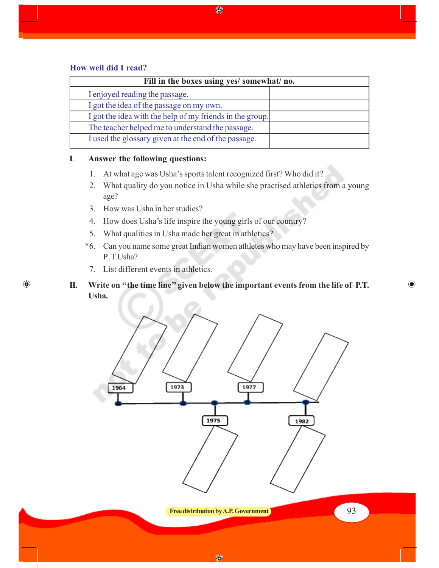#### **How well did I read?**

 $\bigoplus$ 

| Fill in the boxes using yes/ somewhat/ no.               |  |  |
|----------------------------------------------------------|--|--|
| I enjoyed reading the passage.                           |  |  |
| I got the idea of the passage on my own.                 |  |  |
| I got the idea with the help of my friends in the group. |  |  |
| The teacher helped me to understand the passage.         |  |  |
| I used the glossary given at the end of the passage.     |  |  |

#### **I**. **Answer the following questions:**

- 1. At what age was Usha's sports talent recognized first? Who did it?
- 2. What quality do you notice in Usha while she practised athletics from a young age?
- 3. How was Usha in her studies?
- 4. How does Usha's life inspire the young girls of our country?
- 5. What qualities in Usha made her great in athletics?
- \*6. Can you name some great Indian women athletes who may have been inspired by P .T.Usha?

- 7. List different events in athletics.
- **II. Write on ''the time line'' given below the important events from the life of P.T. Usha.**

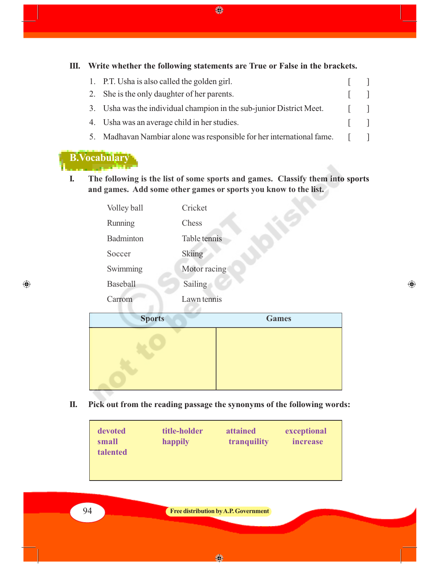**III. Write whether the following statements are True or False in the brackets.**

♦

| 1. P.T. Usha is also called the golden girl.                          |                |                           |
|-----------------------------------------------------------------------|----------------|---------------------------|
| 2. She is the only daughter of her parents.                           |                |                           |
| 3. Usha was the individual champion in the sub-junior District Meet.  |                | $\mathbf{1}$ $\mathbf{1}$ |
| 4. Usha was an average child in her studies.                          |                |                           |
| 5. Madhavan Nambiar alone was responsible for her international fame. | $\mathbb{R}^n$ |                           |

#### **B.Vocabulary**

 $\bigoplus$ 

**I. The following is the list of some sports and games. Classify them into sports and games. Add some other games or sports you know to the list.**

| Volley ball     | Cricket      |
|-----------------|--------------|
| Running         | Chess        |
| Badminton       | Table tennis |
| Soccer          | Skiing       |
| Swimming        | Motor racing |
| <b>Baseball</b> | Sailing      |
| Carrom          | Lawn tennis  |
|                 |              |



 $\bigoplus$ 

**II. Pick out from the reading passage the synonyms of the following words:**

| devoted<br>small<br><b>talented</b> | title-holder<br>happily | attained<br>tranquility | exceptional<br>increase |
|-------------------------------------|-------------------------|-------------------------|-------------------------|
|                                     |                         |                         |                         |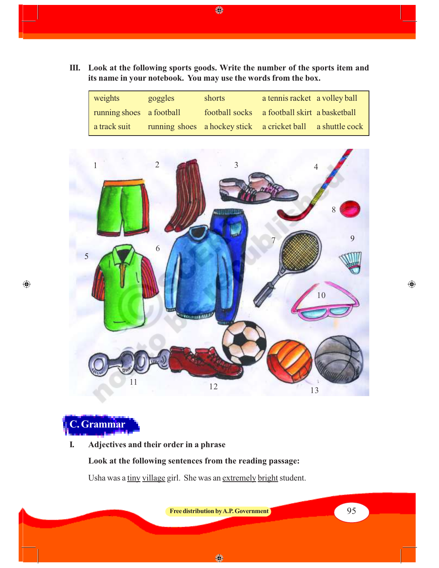**III. Look at the following sports goods. Write the number of the sports item and its name in your notebook. You may use the words from the box.**

 $\bigoplus$ 

| weights                  | goggles | shorts                                                     | a tennis racket a volley ball                |  |
|--------------------------|---------|------------------------------------------------------------|----------------------------------------------|--|
| running shoes a football |         |                                                            | football socks a football skirt a basketball |  |
| a track suit             |         | running shoes a hockey stick a cricket ball a shuttle cock |                                              |  |





 $\bigoplus$ 

**I. Adjectives and their order in a phrase**

**Look at the following sentences from the reading passage:**

Usha was a tiny village girl. She was an extremely bright student.

**Free distribution by A.P. Government 1 Constanting to the Second Structure of the Second Structure of**  $\frac{1}{2}$  **95** 

 $\bigoplus$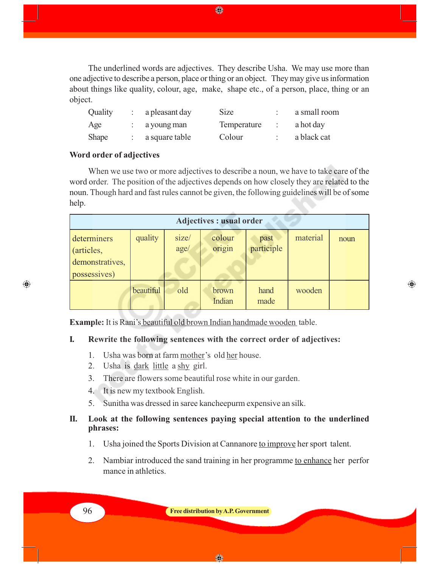The underlined words are adjectives. They describe Usha. We may use more than one adjective to describe a person, place or thing or an object. They may give us information about things like quality, colour, age, make, shape etc., of a person, place, thing or an object.

◈

| Quality      | a pleasant day | <b>Size</b> | a small room |
|--------------|----------------|-------------|--------------|
| Age          | a young man    | Temperature | a hot day    |
| <b>Shape</b> | a square table | Colour      | a black cat  |

#### **Word order of adjectives**

When we use two or more adjectives to describe a noun, we have to take care of the word order. The position of the adjectives depends on how closely they are related to the noun. Though hard and fast rules cannot be given, the following guidelines will be of some help.

| <b>Adjectives : usual order</b>                              |           |               |                  |                    |          |      |
|--------------------------------------------------------------|-----------|---------------|------------------|--------------------|----------|------|
| determiners<br>(articles,<br>demonstratives,<br>possessives) | quality   | size/<br>age/ | colour<br>origin | past<br>participle | material | noun |
|                                                              | beautiful | old           | brown<br>Indian  | hand<br>made       | wooden   |      |

◈

**Example:** It is Rani's beautiful old brown Indian handmade wooden table.

#### **I. Rewrite the following sentences with the correct order of adjectives:**

- 1. Usha was born at farm mother's old her house.
- 2. Usha is dark little a shy girl.
- 3. There are flowers some beautiful rose white in our garden.
- 4. It is new my textbook English.
- 5. Sunitha was dressed in saree kancheepurm expensive an silk.

#### **II. Look at the following sentences paying special attention to the underlined phrases:**

- 1. Usha joined the Sports Division at Cannanore to improve her sport talent.
- 2. Nambiar introduced the sand training in her programme to enhance her perfor mance in athletics.

 $\bigoplus$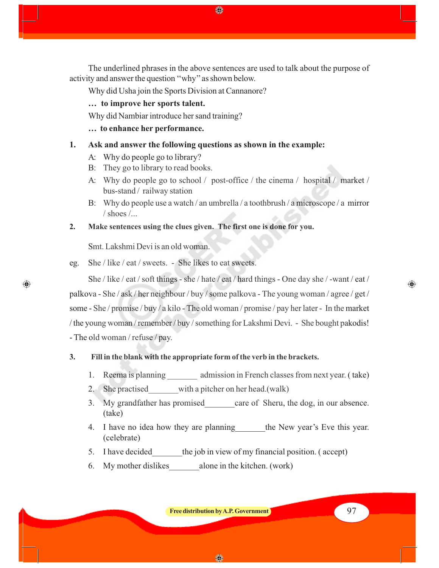The underlined phrases in the above sentences are used to talk about the purpose of activity and answer the question ''why'' as shown below.

◈

Why did Usha join the Sports Division at Cannanore?

**… to improve her sports talent.**

Why did Nambiar introduce her sand training?

**… to enhance her performance.**

#### **1. Ask and answer the following questions as shown in the example:**

- A: Why do people go to library?
- B: They go to library to read books.
- A: Why do people go to school / post-office / the cinema / hospital / market / bus-stand / railway station
- B: Why do people use a watch / an umbrella / a toothbrush / a microscope / a mirror  $/$  shoes  $/$ ...
- **2. Make sentences using the clues given. The first one is done for you.**

Smt. Lakshmi Devi is an old woman.

 $\bigoplus$ 

eg. She / like / eat / sweets. - She likes to eat sweets.

She / like / eat / soft things - she / hate / eat / hard things - One day she / -want / eat / palkova - She / ask / her neighbour / buy / some palkova - The young woman / agree / get / some - She / promise / buy / a kilo - The old woman / promise / pay her later - In the market / the young woman / remember / buy / something for Lakshmi Devi. - She bought pakodis! - The old woman / refuse / pay.

#### **3. Fill in the blank with the appropriate form of the verb in the brackets.**

- 1. Reema is planning admission in French classes from next year. (take)
- 2. She practised with a pitcher on her head.(walk)
- 3. My grandfather has promised care of Sheru, the dog, in our absence. (take)
- 4. I have no idea how they are planning the New year's Eve this year. (celebrate)
- 5. I have decided the job in view of my financial position. (accept)
- 6. My mother dislikes alone in the kitchen. (work)

**Free distribution by A.P. Government** 97

⊕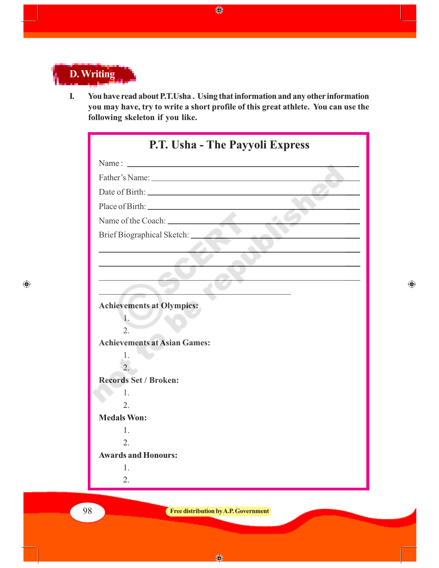

**I. You have read about P.T.Usha . Using that information and any other information you may have, try to write a short profile of this great athlete. You can use the following skeleton if you like.**

 $\bigcirc$ 

| P.T. Usha - The Payyoli Express                                                                                                                                                                                               |  |
|-------------------------------------------------------------------------------------------------------------------------------------------------------------------------------------------------------------------------------|--|
|                                                                                                                                                                                                                               |  |
|                                                                                                                                                                                                                               |  |
| Date of Birth: 2008 and 2008 and 2008 and 2008 and 2008 and 2008 and 2008 and 2008 and 2008 and 2008 and 2008 and 2008 and 2008 and 2008 and 2008 and 2008 and 2008 and 2008 and 2008 and 2008 and 2008 and 2008 and 2008 and |  |
|                                                                                                                                                                                                                               |  |
|                                                                                                                                                                                                                               |  |
| Brief Biographical Sketch: _________                                                                                                                                                                                          |  |
|                                                                                                                                                                                                                               |  |
|                                                                                                                                                                                                                               |  |
|                                                                                                                                                                                                                               |  |
|                                                                                                                                                                                                                               |  |
| <b>Achievements at Olympics:</b>                                                                                                                                                                                              |  |
| 1.                                                                                                                                                                                                                            |  |
| $\overline{2}$ .                                                                                                                                                                                                              |  |
| <b>Achievements at Asian Games:</b>                                                                                                                                                                                           |  |
| 1.<br>$\overline{2}$ .                                                                                                                                                                                                        |  |
| <b>Records Set / Broken:</b>                                                                                                                                                                                                  |  |
| 1.                                                                                                                                                                                                                            |  |
| 2.                                                                                                                                                                                                                            |  |
| <b>Medals Won:</b>                                                                                                                                                                                                            |  |
| 1.                                                                                                                                                                                                                            |  |
| 2.                                                                                                                                                                                                                            |  |
| <b>Awards and Honours:</b>                                                                                                                                                                                                    |  |
| 1.                                                                                                                                                                                                                            |  |
| 2.                                                                                                                                                                                                                            |  |

 $\bigoplus$ 

 $\bigoplus$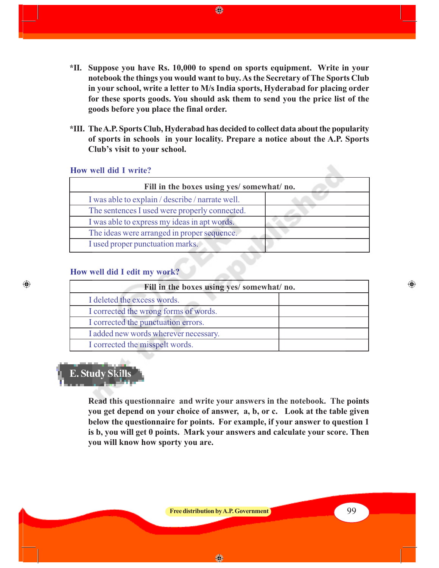- **\*II. Suppose you have Rs. 10,000 to spend on sports equipment. Write in your notebook the things you would want to buy. As the Secretary of The Sports Club in your school, write a letter to M/s India sports, Hyderabad for placing order for these sports goods. You should ask them to send you the price list of the goods before you place the final order.**
- **\*III. The A.P. Sports Club, Hyderabad has decided to collect data about the popularity of sports in schools in your locality. Prepare a notice about the A.P. Sports Club's visit to your school.**

#### **How well did I write?**

| Fill in the boxes using yes/ somewhat/ no.       |  |  |
|--------------------------------------------------|--|--|
| I was able to explain / describe / narrate well. |  |  |
| The sentences I used were properly connected.    |  |  |
| I was able to express my ideas in apt words.     |  |  |
| The ideas were arranged in proper sequence.      |  |  |
| I used proper punctuation marks.                 |  |  |

#### **How well did I edit my work?**

| Fill in the boxes using yes/ somewhat/ no. |  |  |
|--------------------------------------------|--|--|
| I deleted the excess words.                |  |  |
| I corrected the wrong forms of words.      |  |  |
| I corrected the punctuation errors.        |  |  |
| I added new words wherever necessary.      |  |  |
| I corrected the misspelt words.            |  |  |

⊕

# **E. Study Skills**

 $\bigcirc$ 

**Read this questionnaire and write your answers in the notebook. The points you get depend on your choice of answer, a, b, or c. Look at the table given below the questionnaire for points. For example, if your answer to question 1 is b, you will get 0 points. Mark your answers and calculate your score. Then you will know how sporty you are.**

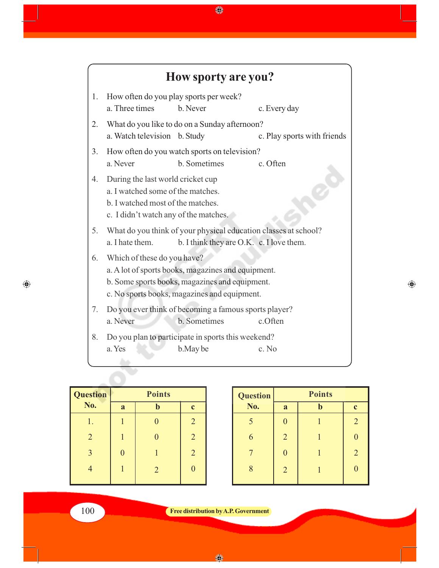

◈

| <b>Question</b> | <b>Points</b> |   |                |
|-----------------|---------------|---|----------------|
| No.             | a             |   | $\mathbf{c}$   |
|                 |               |   | $\overline{2}$ |
| $\overline{2}$  |               |   | $\overline{2}$ |
| 3               | 0             |   | $\overline{2}$ |
|                 |               | 2 |                |
|                 |               |   |                |

| <b>Question</b> | <b>Points</b>  |  |                |
|-----------------|----------------|--|----------------|
| No.             | a              |  | $\mathbf c$    |
| 5               |                |  | $\overline{2}$ |
| 6               | $\overline{2}$ |  | $\overline{0}$ |
|                 | 0              |  | $\overline{2}$ |
| 8               | $\overline{2}$ |  | 0              |

◈

100 **Free distribution by A.P. Government**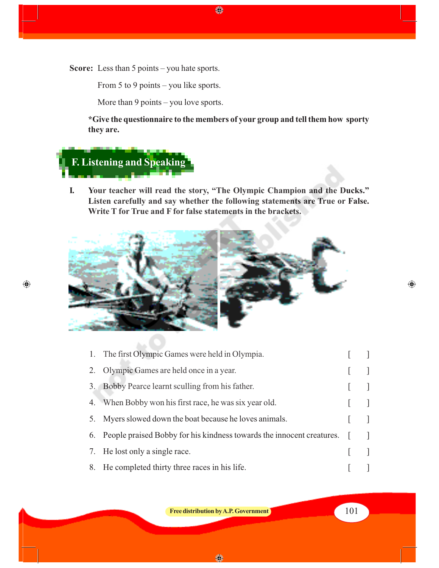**Score:** Less than 5 points – you hate sports.

From 5 to 9 points – you like sports.

More than 9 points – you love sports.

**\*Give the questionnaire to the members of your group and tell them how sporty they are.**

 $\bigoplus$ 

# **F. Listening and Speaking**

AA U

 $\bigoplus$ 

**I. Your teacher will read the story, "The Olympic Champion and the Ducks." Listen carefully and say whether the following statements are True or False. Write T for True and F for false statements in the brackets.**



|    | 1. The first Olympic Games were held in Olympia.                      |  |
|----|-----------------------------------------------------------------------|--|
|    | 2. Olympic Games are held once in a year.                             |  |
|    | 3. Bobby Pearce learnt sculling from his father.                      |  |
|    | 4. When Bobby won his first race, he was six year old.                |  |
| 5. | Myers slowed down the boat because he loves animals.                  |  |
| 6. | People praised Bobby for his kindness towards the innocent creatures. |  |
| 7. | He lost only a single race.                                           |  |
| 8. | He completed thirty three races in his life.                          |  |
|    |                                                                       |  |

**Free distribution by A.P. Government** 101

◈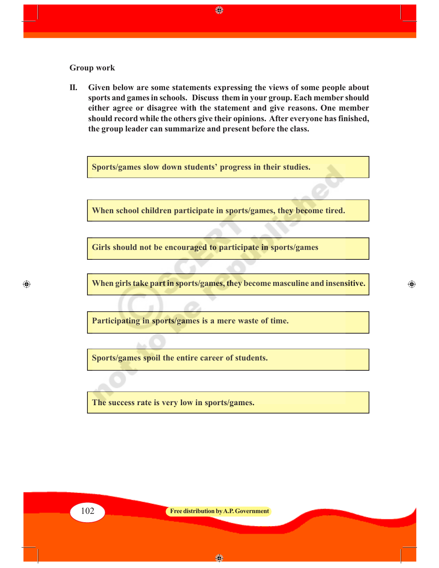#### **Group work**

**II. Given below are some statements expressing the views of some people about sports and games in schools. Discuss them in your group. Each member should either agree or disagree with the statement and give reasons. One member should record while the others give their opinions. After everyone has finished, the group leader can summarize and present before the class.**

◈

**Sports/games slow down students' progress in their studies.**

**When school children participate in sports/games, they become tired.**

**Girls should not be encouraged to participate in sports/games**

**When girls take part in sports/games, they become masculine and insensitive.**

 $\bigoplus$ 

**Participating in sports/games is a mere waste of time.**

**Sports/games spoil the entire career of students.**

**The success rate is very low in sports/games.**

 $\bigoplus$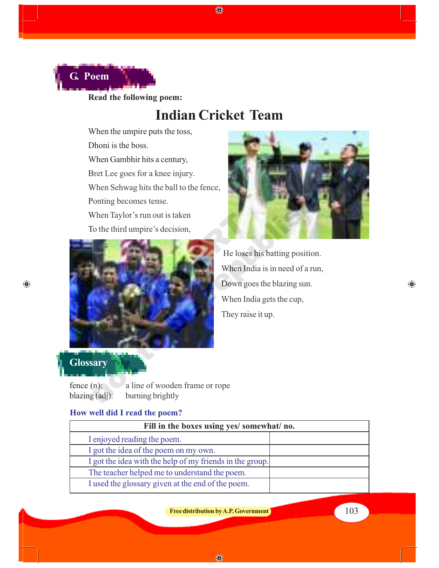

**Read the following poem:**

### **Indian Cricket Team**

♦

When the umpire puts the toss,

Dhoni is the boss.

When Gambhir hits a century,

Bret Lee goes for a knee injury.

When Sehwag hits the ball to the fence,

Ponting becomes tense.

When Taylor's run out is taken

To the third umpire's decision,





 He loses his batting position. When India is in need of a run, Down goes the blazing sun. When India gets the cup, They raise it up.



 $\bigoplus$ 

fence (n): a line of wooden frame or rope blazing (adj): burning brightly

#### **How well did I read the poem?**

| Fill in the boxes using yes/ somewhat/ no.               |  |  |
|----------------------------------------------------------|--|--|
| I enjoyed reading the poem.                              |  |  |
| I got the idea of the poem on my own.                    |  |  |
| I got the idea with the help of my friends in the group. |  |  |
| The teacher helped me to understand the poem.            |  |  |
| I used the glossary given at the end of the poem.        |  |  |

**Free distribution by A.P. Government** 103

 $\bigoplus$ 

企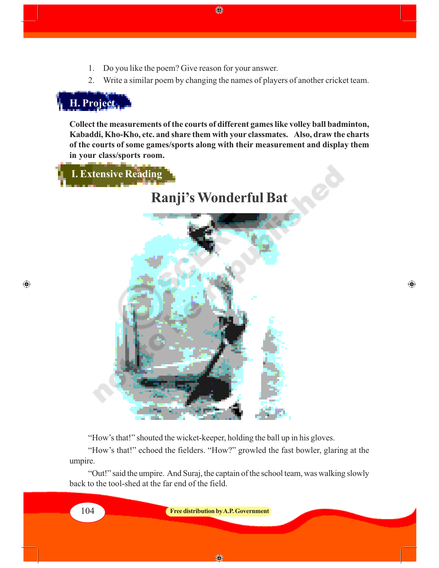- 1. Do you like the poem? Give reason for your answer.
- 2. Write a similar poem by changing the names of players of another cricket team.

## **H. Project**

 $\bigoplus$ 

**Collect the measurements of the courts of different games like volley ball badminton, Kabaddi, Kho-Kho, etc. and share them with your classmates. Also, draw the charts of the courts of some games/sports along with their measurement and display them in your class/sports room.**

 **I. Extensive Reading**

**Ranji's Wonderful Bat**

⊕



"How's that!" shouted the wicket-keeper, holding the ball up in his gloves.

"How's that!" echoed the fielders. "How?" growled the fast bowler, glaring at the umpire.

"Out!" said the umpire. And Suraj, the captain of the school team, was walking slowly back to the tool-shed at the far end of the field.

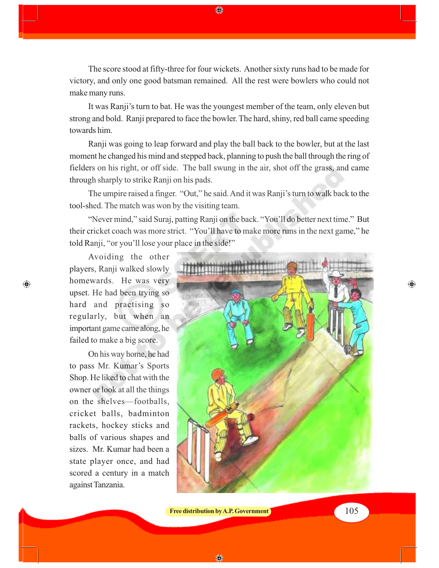The score stood at fifty-three for four wickets. Another sixty runs had to be made for victory, and only one good batsman remained. All the rest were bowlers who could not make many runs.

◈

It was Ranji's turn to bat. He was the youngest member of the team, only eleven but strong and bold. Ranji prepared to face the bowler. The hard, shiny, red ball came speeding towards him.

Ranji was going to leap forward and play the ball back to the bowler, but at the last moment he changed his mind and stepped back, planning to push the ball through the ring of fielders on his right, or off side. The ball swung in the air, shot off the grass, and came through sharply to strike Ranji on his pads.

The umpire raised a finger. "Out," he said. And it was Ranji's turn to walk back to the tool-shed. The match was won by the visiting team.

"Never mind," said Suraj, patting Ranji on the back. "You'll do better next time." But their cricket coach was more strict. "You'll have to make more runs in the next game," he told Ranji, "or you'll lose your place in the side!"

Avoiding the other players, Ranji walked slowly homewards. He was very upset. He had been trying so hard and practising so regularly, but when an important game came along, he failed to make a big score.

 $\bigcirc$ 

On his way home, he had to pass Mr. Kumar's Sports Shop. He liked to chat with the owner or look at all the things on the shelves—footballs, cricket balls, badminton rackets, hockey sticks and balls of various shapes and sizes. Mr. Kumar had been a state player once, and had scored a century in a match against Tanzania.



**Free distribution by A.P. Government** 105

⊕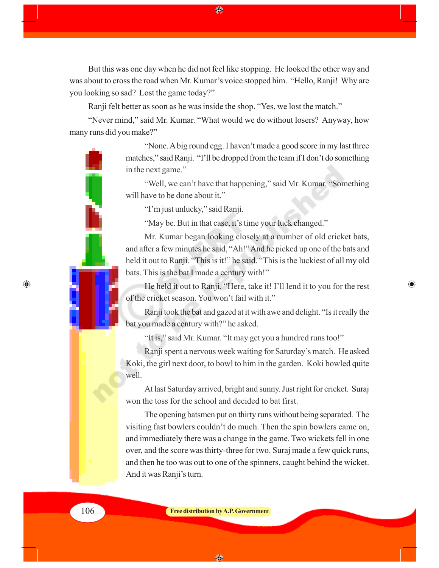But this was one day when he did not feel like stopping. He looked the other way and was about to cross the road when Mr. Kumar's voice stopped him. "Hello, Ranji! Why are you looking so sad? Lost the game today?"

Ranji felt better as soon as he was inside the shop. "Yes, we lost the match."

"Never mind," said Mr. Kumar. "What would we do without losers? Anyway, how many runs did you make?"

> "None. A big round egg. I haven't made a good score in my last three matches," said Ranji. "I'll be dropped from the team if I don't do something in the next game."

> "Well, we can't have that happening," said Mr. Kumar. "Something will have to be done about it."

"I'm just unlucky," said Ranji.

"May be. But in that case, it's time your luck changed."

Mr. Kumar began looking closely at a number of old cricket bats, and after a few minutes he said, "Ah!" And he picked up one of the bats and held it out to Ranji. "This is it!" he said. "This is the luckiest of all my old bats. This is the bat I made a century with!"

He held it out to Ranji. "Here, take it! I'll lend it to you for the rest of the cricket season. You won't fail with it."

 $\bigoplus$ 

Ranji took the bat and gazed at it with awe and delight. "Is it really the bat you made a century with?" he asked.

"It is," said Mr. Kumar. "It may get you a hundred runs too!"

Ranji spent a nervous week waiting for Saturday's match. He asked Koki, the girl next door, to bowl to him in the garden. Koki bowled quite well.

At last Saturday arrived, bright and sunny. Just right for cricket. Suraj won the toss for the school and decided to bat first.

The opening batsmen put on thirty runs without being separated. The visiting fast bowlers couldn't do much. Then the spin bowlers came on, and immediately there was a change in the game. Two wickets fell in one over, and the score was thirty-three for two. Suraj made a few quick runs, and then he too was out to one of the spinners, caught behind the wicket. And it was Ranji's turn.

 $\bigoplus$ 

106 **Free distribution by A.P. Government**